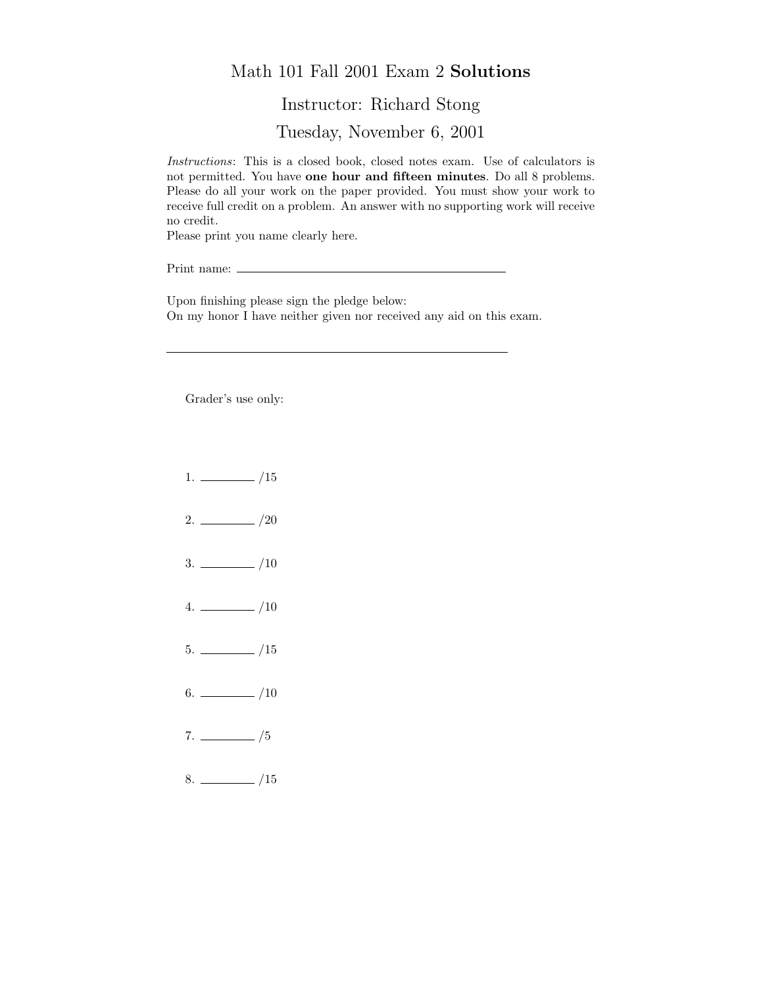## Math 101 Fall 2001 Exam 2 Solutions

## Instructor: Richard Stong

Tuesday, November 6, 2001

Instructions: This is a closed book, closed notes exam. Use of calculators is not permitted. You have one hour and fifteen minutes. Do all 8 problems. Please do all your work on the paper provided. You must show your work to receive full credit on a problem. An answer with no supporting work will receive no credit.

Please print you name clearly here.

Print name:  $\equiv$ 

Upon finishing please sign the pledge below: On my honor I have neither given nor received any aid on this exam.

Grader's use only:

- $1. \ \_ \ \_ \ /15$
- $2. \ \frac{\ }{\ }$  /20
- $3. \ \_$ /10
- $4. \ \_ 10$
- $5. \ \_$ /15
- $6.$  /10
- $7. \ \_ \ \_/5$
- $8.$  /15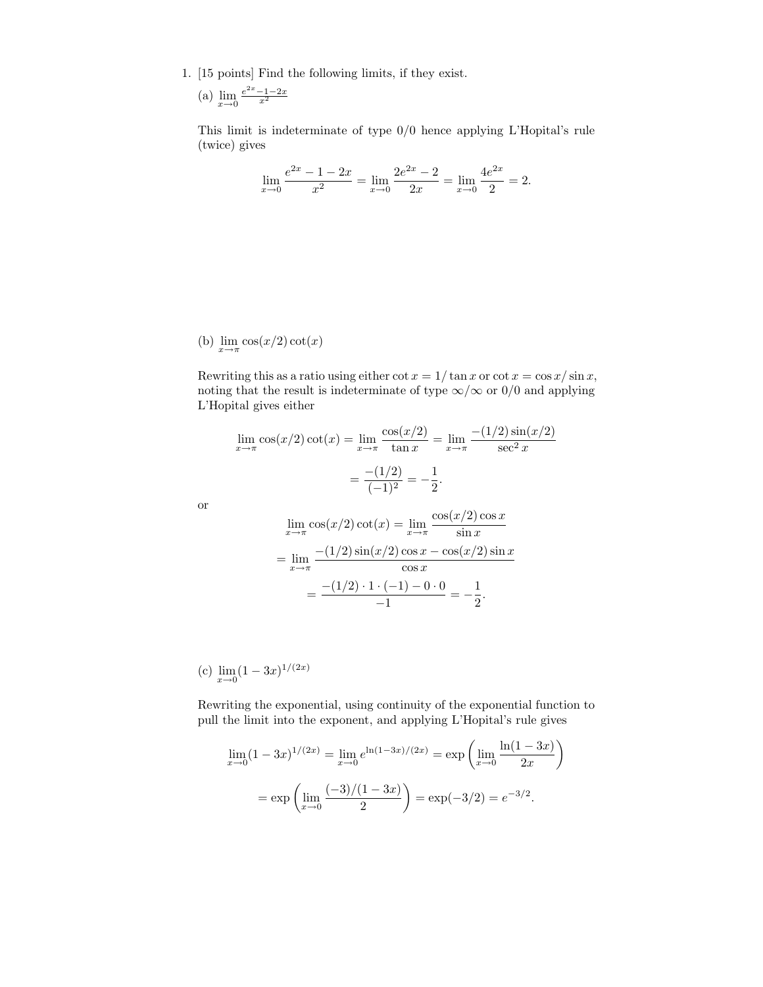1. [15 points] Find the following limits, if they exist.

(a) 
$$
\lim_{x \to 0} \frac{e^{2x} - 1 - 2x}{x^2}
$$

This limit is indeterminate of type 0/0 hence applying L'Hopital's rule (twice) gives

$$
\lim_{x \to 0} \frac{e^{2x} - 1 - 2x}{x^2} = \lim_{x \to 0} \frac{2e^{2x} - 2}{2x} = \lim_{x \to 0} \frac{4e^{2x}}{2} = 2.
$$

(b)  $\lim_{x \to \pi} \cos(x/2) \cot(x)$ 

Rewriting this as a ratio using either  $\cot x = 1/\tan x$  or  $\cot x = \cos x/\sin x$ , noting that the result is indeterminate of type  $\infty/\infty$  or 0/0 and applying L'Hopital gives either

$$
\lim_{x \to \pi} \cos(x/2) \cot(x) = \lim_{x \to \pi} \frac{\cos(x/2)}{\tan x} = \lim_{x \to \pi} \frac{-(1/2) \sin(x/2)}{\sec^2 x}
$$

$$
= \frac{-(1/2)}{(-1)^2} = -\frac{1}{2}.
$$

or

$$
\lim_{x \to \pi} \cos(x/2) \cot(x) = \lim_{x \to \pi} \frac{\cos(x/2) \cos x}{\sin x}
$$

$$
= \lim_{x \to \pi} \frac{-(1/2) \sin(x/2) \cos x - \cos(x/2) \sin x}{\cos x}
$$

$$
= \frac{-(1/2) \cdot 1 \cdot (-1) - 0 \cdot 0}{-1} = -\frac{1}{2}.
$$

(c)  $\lim_{x\to 0} (1-3x)^{1/(2x)}$ 

Rewriting the exponential, using continuity of the exponential function to pull the limit into the exponent, and applying L'Hopital's rule gives

$$
\lim_{x \to 0} (1 - 3x)^{1/(2x)} = \lim_{x \to 0} e^{\ln(1 - 3x)/(2x)} = \exp\left(\lim_{x \to 0} \frac{\ln(1 - 3x)}{2x}\right)
$$

$$
= \exp\left(\lim_{x \to 0} \frac{(-3)/(1 - 3x)}{2}\right) = \exp(-3/2) = e^{-3/2}.
$$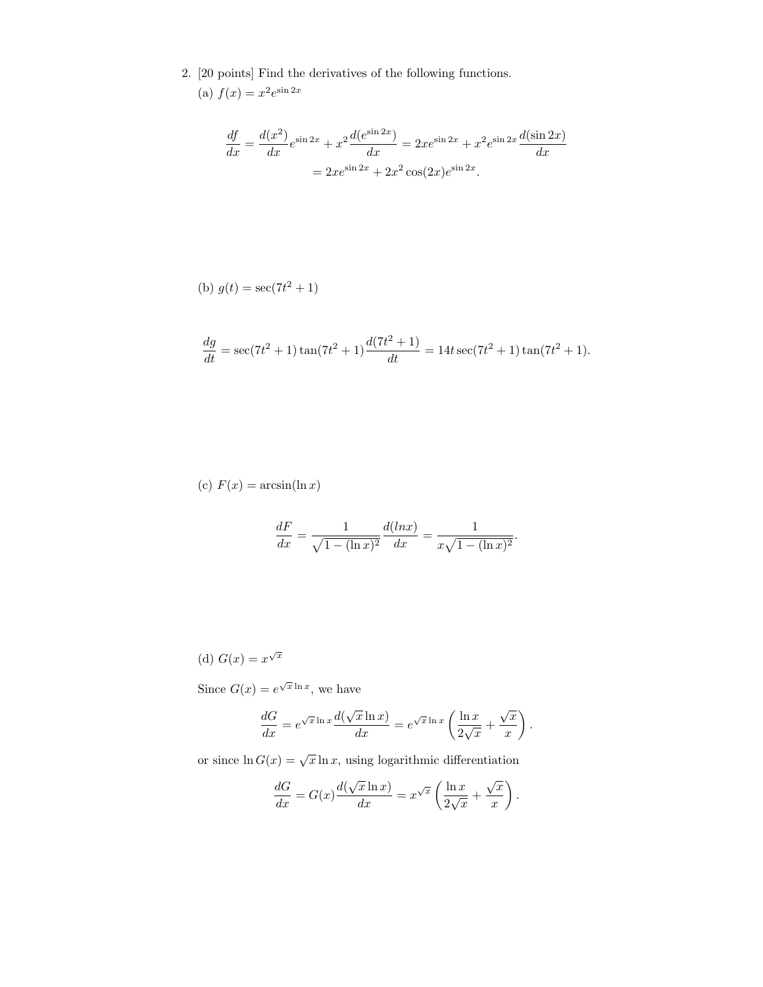2. [20 points] Find the derivatives of the following functions.

(a) 
$$
f(x) = x^2 e^{\sin 2x}
$$

$$
\frac{df}{dx} = \frac{d(x^2)}{dx}e^{\sin 2x} + x^2\frac{d(e^{\sin 2x})}{dx} = 2xe^{\sin 2x} + x^2e^{\sin 2x}\frac{d(\sin 2x)}{dx}
$$

$$
= 2xe^{\sin 2x} + 2x^2\cos(2x)e^{\sin 2x}.
$$

(b) 
$$
g(t) = \sec(7t^2 + 1)
$$

$$
\frac{dg}{dt} = \sec(7t^2 + 1)\tan(7t^2 + 1)\frac{d(7t^2 + 1)}{dt} = 14t\sec(7t^2 + 1)\tan(7t^2 + 1).
$$

(c)  $F(x) = \arcsin(\ln x)$ 

$$
\frac{dF}{dx} = \frac{1}{\sqrt{1 - (\ln x)^2}} \frac{d(\ln x)}{dx} = \frac{1}{x\sqrt{1 - (\ln x)^2}}.
$$

(d) 
$$
G(x) = x^{\sqrt{x}}
$$

Since  $G(x) = e^{\sqrt{x} \ln x}$ , we have

$$
\frac{dG}{dx} = e^{\sqrt{x} \ln x} \frac{d(\sqrt{x} \ln x)}{dx} = e^{\sqrt{x} \ln x} \left( \frac{\ln x}{2\sqrt{x}} + \frac{\sqrt{x}}{x} \right).
$$

or since  $\ln G(x) = \sqrt{x} \ln x$ , using logarithmic differentiation

$$
\frac{dG}{dx} = G(x) \frac{d(\sqrt{x} \ln x)}{dx} = x^{\sqrt{x}} \left( \frac{\ln x}{2\sqrt{x}} + \frac{\sqrt{x}}{x} \right).
$$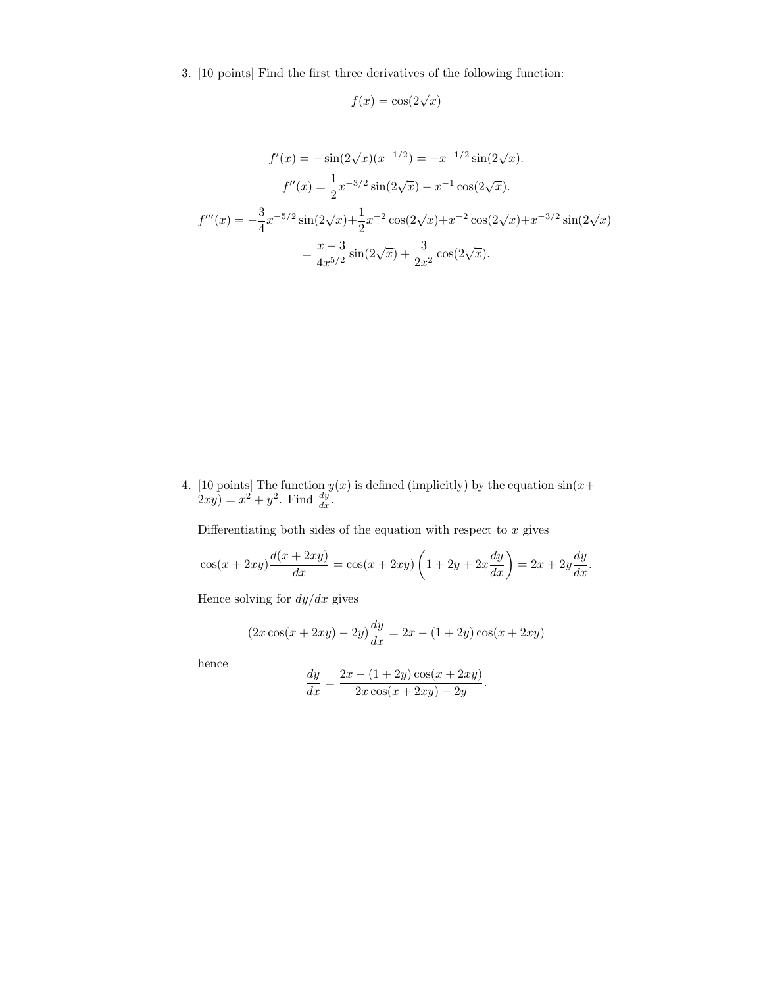3. [10 points] Find the first three derivatives of the following function:

$$
f(x) = \cos(2\sqrt{x})
$$

$$
f'(x) = -\sin(2\sqrt{x})(x^{-1/2}) = -x^{-1/2}\sin(2\sqrt{x}).
$$

$$
f''(x) = \frac{1}{2}x^{-3/2}\sin(2\sqrt{x}) - x^{-1}\cos(2\sqrt{x}).
$$

$$
f'''(x) = -\frac{3}{4}x^{-5/2}\sin(2\sqrt{x}) + \frac{1}{2}x^{-2}\cos(2\sqrt{x}) + x^{-2}\cos(2\sqrt{x}) + x^{-3/2}\sin(2\sqrt{x})
$$

$$
= \frac{x-3}{4x^{5/2}}\sin(2\sqrt{x}) + \frac{3}{2x^2}\cos(2\sqrt{x}).
$$

4. [10 points] The function  $y(x)$  is defined (implicitly) by the equation  $\sin(x+)$  $2xy$ ) =  $x^2 + y^2$ . Find  $\frac{dy}{dx}$ .

Differentiating both sides of the equation with respect to  $x$  gives

$$
\cos(x+2xy)\frac{d(x+2xy)}{dx} = \cos(x+2xy)\left(1+2y+2x\frac{dy}{dx}\right) = 2x+2y\frac{dy}{dx}.
$$

Hence solving for  $dy/dx$  gives

$$
(2x\cos(x+2xy)-2y)\frac{dy}{dx} = 2x - (1+2y)\cos(x+2xy)
$$

hence

$$
\frac{dy}{dx} = \frac{2x - (1 + 2y)\cos(x + 2xy)}{2x\cos(x + 2xy) - 2y}.
$$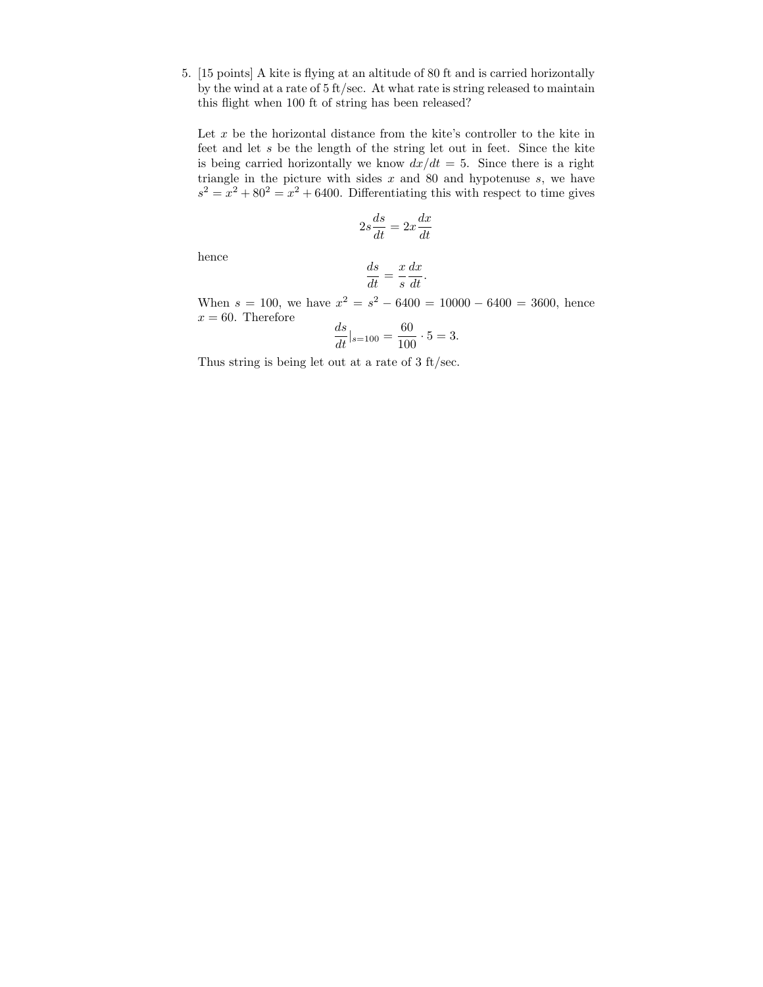5. [15 points] A kite is flying at an altitude of 80 ft and is carried horizontally by the wind at a rate of 5 ft/sec. At what rate is string released to maintain this flight when 100 ft of string has been released?

Let  $x$  be the horizontal distance from the kite's controller to the kite in feet and let s be the length of the string let out in feet. Since the kite is being carried horizontally we know  $dx/dt = 5$ . Since there is a right triangle in the picture with sides  $x$  and  $80$  and hypotenuse  $s$ , we have  $s^2 = x^2 + 80^2 = x^2 + 6400$ . Differentiating this with respect to time gives

$$
2s\frac{ds}{dt} = 2x\frac{dx}{dt}
$$

hence

$$
\frac{ds}{dt} = \frac{x}{s} \frac{dx}{dt}.
$$

When  $s = 100$ , we have  $x^2 = s^2 - 6400 = 10000 - 6400 = 3600$ , hence  $x = 60$ . Therefore

$$
\frac{ds}{dt}|_{s=100} = \frac{60}{100} \cdot 5 = 3.
$$

Thus string is being let out at a rate of 3 ft/sec.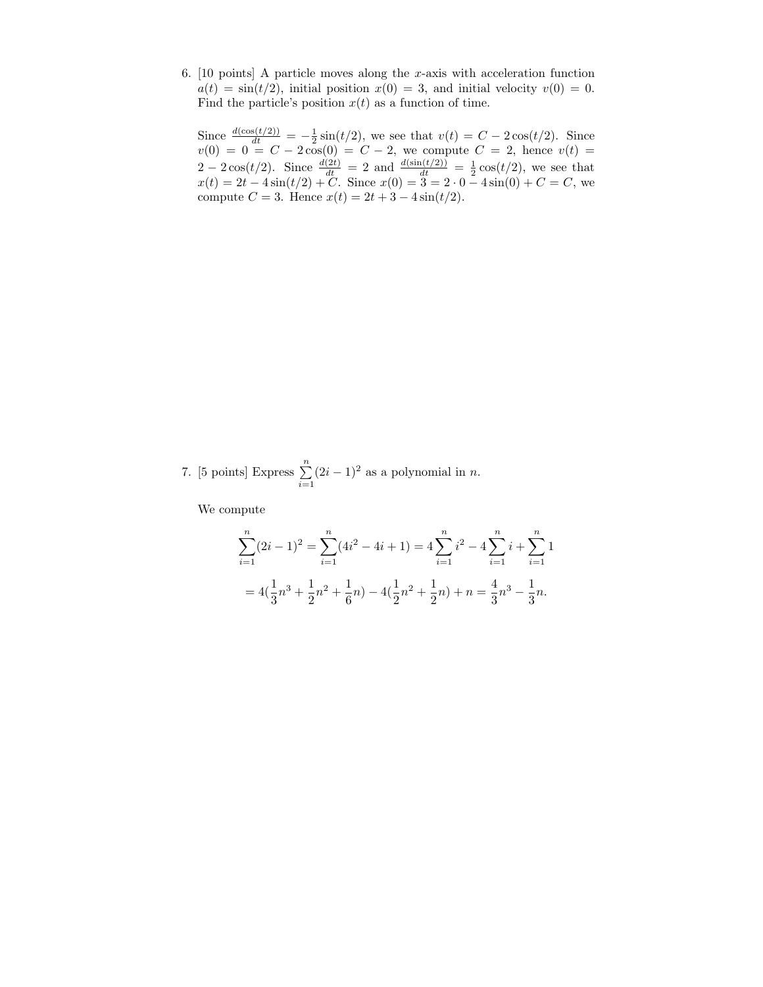6. [10 points] A particle moves along the  $x$ -axis with acceleration function  $a(t) = \sin(t/2)$ , initial position  $x(0) = 3$ , and initial velocity  $v(0) = 0$ . Find the particle's position  $x(t)$  as a function of time.

Since  $\frac{d(\cos(t/2))}{dt} = -\frac{1}{2}\sin(t/2)$ , we see that  $v(t) = C - 2\cos(t/2)$ . Since  $v(0) = 0 = C - 2\cos(0) = C - 2$ , we compute  $C = 2$ , hence  $v(t) =$  $2 - 2\cos(t/2)$ . Since  $\frac{d(2t)}{dt} = 2$  and  $\frac{d(\sin(t/2))}{dt} = \frac{1}{2}\cos(t/2)$ , we see that  $x(t) = 2t - 4\sin(t/2) + C$ . Since  $x(0) = 3 = 2 \cdot 0 - 4\sin(0) + C = C$ , we compute  $C = 3$ . Hence  $x(t) = 2t + 3 - 4\sin(t/2)$ .

7. [5 points] Express  $\sum_{n=1}^{\infty}$  $i=1$  $(2i - 1)^2$  as a polynomial in *n*.

We compute

$$
\sum_{i=1}^{n} (2i - 1)^2 = \sum_{i=1}^{n} (4i^2 - 4i + 1) = 4 \sum_{i=1}^{n} i^2 - 4 \sum_{i=1}^{n} i + \sum_{i=1}^{n} 1
$$

$$
= 4(\frac{1}{3}n^3 + \frac{1}{2}n^2 + \frac{1}{6}n) - 4(\frac{1}{2}n^2 + \frac{1}{2}n) + n = \frac{4}{3}n^3 - \frac{1}{3}n.
$$